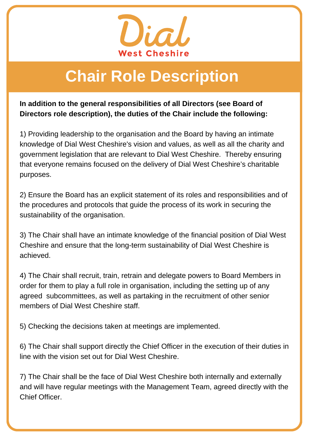

# **Chair Role Description**

**In addition to the general responsibilities of all Directors (see Board of Directors role description), the duties of the Chair include the following:**

1) Providing leadership to the organisation and the Board by having an intimate knowledge of Dial West Cheshire's vision and values, as well as all the charity and government legislation that are relevant to Dial West Cheshire. Thereby ensuring that everyone remains focused on the delivery of Dial West Cheshire's charitable purposes.

2) Ensure the Board has an explicit statement of its roles and responsibilities and of the procedures and protocols that guide the process of its work in securing the sustainability of the organisation.

3) The Chair shall have an intimate knowledge of the financial position of Dial West Cheshire and ensure that the long-term sustainability of Dial West Cheshire is achieved.

**Personal Support Interest, as we**<br>**Personal Specification** 4) The Chair shall recruit, train, retrain and delegate powers to Board Members in order for them to play a full role in organisation, including the setting up of any agreed subcommittees, as well as partaking in the recruitment of other senior members of Dial West Cheshire staff.

5) Checking the decisions taken at meetings are implemented.

6) The Chair shall support directly the Chief Officer in the execution of their duties in line with the vision set out for Dial West Cheshire.

7) The Chair shall be the face of Dial West Cheshire both internally and externally and will have regular meetings with the Management Team, agreed directly with the Chief Officer.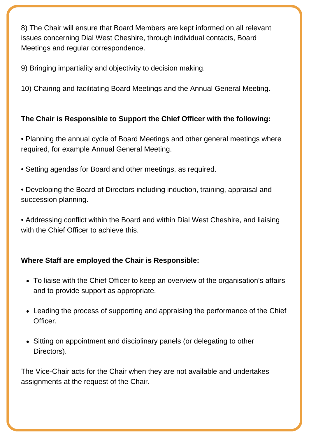8) The Chair will ensure that Board Members are kept informed on all relevant issues concerning Dial West Cheshire, through individual contacts, Board Meetings and regular correspondence.

9) Bringing impartiality and objectivity to decision making.

10) Chairing and facilitating Board Meetings and the Annual General Meeting.

### **The Chair is Responsible to Support the Chief Officer with the following:**

• Planning the annual cycle of Board Meetings and other general meetings where required, for example Annual General Meeting.

- Setting agendas for Board and other meetings, as required.
- Developing the Board of Directors including induction, training, appraisal and succession planning.
- Addressing conflict within the Board and within Dial West Cheshire, and liaising with the Chief Officer to achieve this.

### **Where Staff are employed the Chair is Responsible:**

- To liaise with the Chief Officer to keep an overview of the organisation's affairs and to provide support as appropriate.
- Leading the process of supporting and appraising the performance of the Chief Officer.
- Sitting on appointment and disciplinary panels (or delegating to other Directors).

The Vice-Chair acts for the Chair when they are not available and undertakes assignments at the request of the Chair.